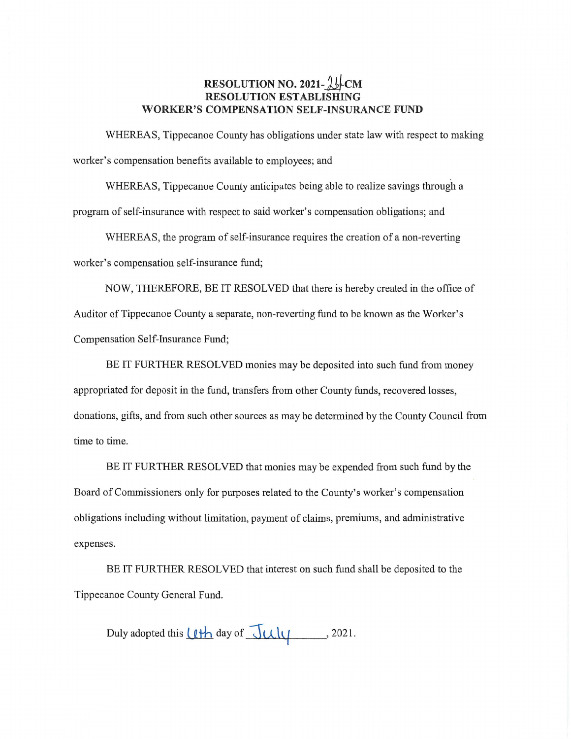## **RESOLUTION NO. 2021-14-CM RESOLUTION ESTABLISHING WORKER'S COMPENSATION SELF-INSURANCE FUND**

WHEREAS, Tippecanoe County has obligations under state law with respect to **making**  worker's compensation benefits available to employees; and

WHEREAS, Tippecanoe County anticipates being able to realize savings **through** <sup>a</sup> program of **self-insurance** with **respect** to **said** worker's **compensation** obligations; and

**WHEREAS,** the program of self-insurance requires the creation of a non-reverting worker's **compensation self—insurance** fund;

NOW, THEREFORE, BE IT **RESOLVED that** there is hereby created in the **office** of Auditor of Tippecanoe County a separate, non-reverting fund to be known as the Worker's **Compensation Self-Insurance** Fund;

BE IT FURTHER RESOLVED monies may be deposited into such fund from money appropriated for deposit in the fund, transfers from other County funds, recovered losses, donations, gifts, and from such other sources as may be determined by the County Council from time to time.

BE IT FURTHER RESOLVED that monies may be expended from such fund by the Board of Commissioners only for purposes related to the County's worker's **compensation** *'*  obligations including without limitation, payment of claims, premiums, and administrative expenses.

BE IT FURTHER RESOLVED that interest on **such fund** shall be deposited to the Tippecanoe County General Fund.

Duly adopted this  $\bigcup \downarrow \downarrow$  day of  $\bigcup \downarrow \downarrow \downarrow$ , 2021.